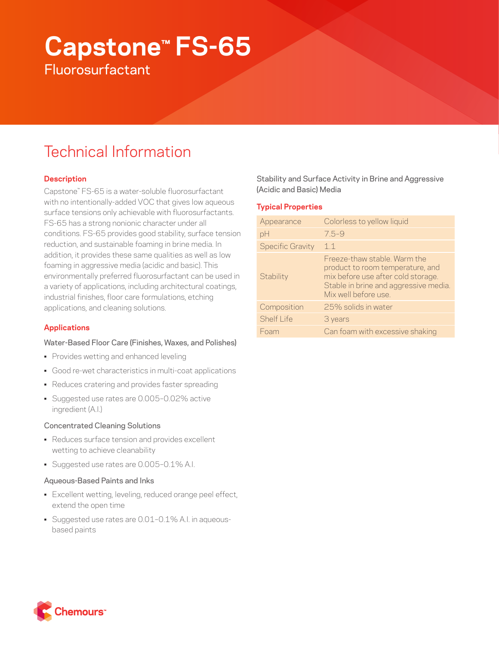# **Capstone™ FS-65 Fluorosurfactant**

## Technical Information

## **Description**

Capstone™ FS-65 is a water-soluble fluorosurfactant with no intentionally-added VOC that gives low aqueous surface tensions only achievable with fluorosurfactants. FS-65 has a strong nonionic character under all conditions. FS-65 provides good stability, surface tension reduction, and sustainable foaming in brine media. In addition, it provides these same qualities as well as low foaming in aggressive media (acidic and basic). This environmentally preferred fluorosurfactant can be used in a variety of applications, including architectural coatings, industrial finishes, floor care formulations, etching applications, and cleaning solutions.

## **Applications**

## Water-Based Floor Care (Finishes, Waxes, and Polishes)

- Provides wetting and enhanced leveling
- Good re-wet characteristics in multi-coat applications
- Reduces cratering and provides faster spreading
- Suggested use rates are 0.005–0.02% active ingredient (A.I.)

## Concentrated Cleaning Solutions

- Reduces surface tension and provides excellent wetting to achieve cleanability
- Suggested use rates are 0.005-0.1% A.I.

### Aqueous-Based Paints and Inks

- Excellent wetting, leveling, reduced orange peel effect, extend the open time
- Suggested use rates are 0.01–0.1% A.I. in aqueousbased paints

Stability and Surface Activity in Brine and Aggressive (Acidic and Basic) Media

## **Typical Properties**

| Appearance              | Colorless to yellow liquid                                                                                                                                             |
|-------------------------|------------------------------------------------------------------------------------------------------------------------------------------------------------------------|
| pH                      | $7.5 - 9$                                                                                                                                                              |
| <b>Specific Gravity</b> | 11                                                                                                                                                                     |
| Stability               | Freeze-thaw stable Warm the<br>product to room temperature, and<br>mix before use after cold storage.<br>Stable in brine and aggressive media.<br>Mix well before use. |
| Composition             | 25% solids in water                                                                                                                                                    |
| Shelf Life              | 3 years                                                                                                                                                                |
| Foam                    | Can foam with excessive shaking                                                                                                                                        |